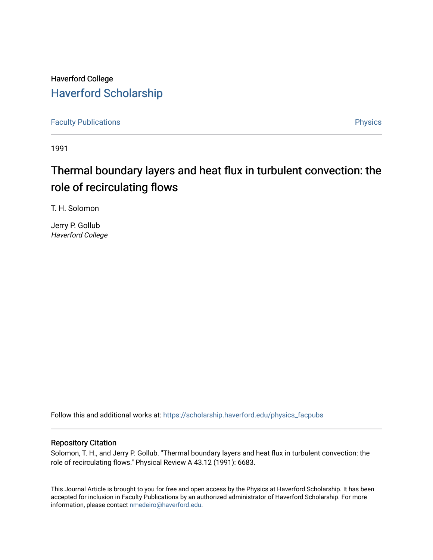Haverford College [Haverford Scholarship](https://scholarship.haverford.edu/)

[Faculty Publications](https://scholarship.haverford.edu/physics_facpubs) **Physics** 

1991

# Thermal boundary layers and heat flux in turbulent convection: the role of recirculating flows

T. H. Solomon

Jerry P. Gollub Haverford College

Follow this and additional works at: [https://scholarship.haverford.edu/physics\\_facpubs](https://scholarship.haverford.edu/physics_facpubs?utm_source=scholarship.haverford.edu%2Fphysics_facpubs%2F30&utm_medium=PDF&utm_campaign=PDFCoverPages) 

# Repository Citation

Solomon, T. H., and Jerry P. Gollub. "Thermal boundary layers and heat flux in turbulent convection: the role of recirculating flows." Physical Review A 43.12 (1991): 6683.

This Journal Article is brought to you for free and open access by the Physics at Haverford Scholarship. It has been accepted for inclusion in Faculty Publications by an authorized administrator of Haverford Scholarship. For more information, please contact [nmedeiro@haverford.edu.](mailto:nmedeiro@haverford.edu)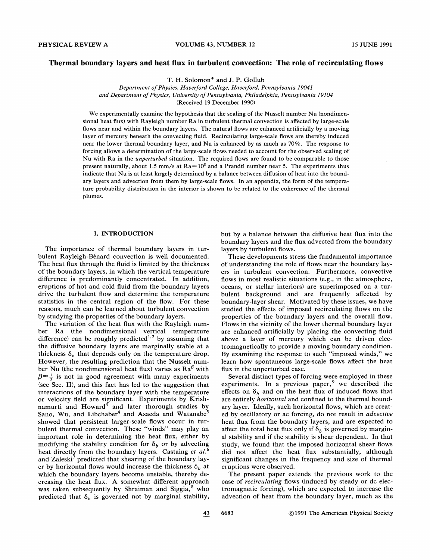# Thermal boundary layers and heat flux in turbulent convection: The role of recirculating flows

T. H. Solomon\* and J. P. Gollub

Department of Physics, Haverford College, Haverford, Pennsyluania 19041 and Department of Physics, University of Pennsyluania, Philadelphia, Pennsyluania 19104 (Received 19 December 1990j

We experimentally examine the hypothesis that the scaling of the Nusselt number Nu (nondimensional heat flux) with Rayleigh number Ra in turbulent thermal convection is affected by large-scale flows near and within the boundary layers. The natural flows are enhanced artificially by a moving layer of mercury beneath the convecting fluid. Recirculating large-scale flows are thereby induced near the lower thermal boundary layer, and Nu is enhanced by as much as 70%. The response to forcing allows a determination of the large-scale flows needed to account for the observed scaling of Nu with Ra in the *unperturbed* situation. The required flows are found to be comparable to those present naturally, about 1.5 mm/s at  $Ra = 10<sup>8</sup>$  and a Prandtl number near 5. The experiments thus indicate that Nu is at least largely determined by a balance between diffusion of heat into the boundary layers and advection from them by large-scale flows. In an appendix, the form of the temperature probability distribution in the interior is shown to be related to the coherence of the thermal plumes.

# I. INTRODUCTION

The importance of thermal boundary layers in turbulent Rayleigh-Bénard convection is well documented. The heat flux through the fluid is limited by the thickness of the boundary layers, in which the vertical temperature difference is predominantly concentrated. In addition, eruptions of hot and cold fluid from the boundary layers drive the turbulent flow and determine the temperature statistics in the central region of the flow. For these reasons, much can be learned about turbulent convection by studying the properties of the boundary layers.

The variation of the heat flux with the Rayleigh number Ra (the nondimensional vertical temperature difference) can be roughly predicted<sup>1,2</sup> by assuming that the diffusive boundary layers are marginally stable at a thickness  $\delta_b$  that depends only on the temperature drop. However, the resulting prediction that the Nusselt number Nu (the nondimensional heat flux) varies as  $Ra^{\beta}$  with  $\beta = \frac{1}{3}$  is not in good agreement with many experiments (see Sec. II), and this fact has led to the suggestion that interactions of the boundary layer with the temperature or velocity field are significant. Experiments by Krishnamurti and Howard<sup>3</sup> and later thorough studies by Sano, Wu, and Libchaber<sup>4</sup> and Asaeda and Watanabe<sup>5</sup> showed that persistent larger-scale flows occur in turbulent thermal convection. These "winds" may play an important role in determining the heat flux, either by modifying the stability condition for  $\delta_b$  or by advecting heat directly from the boundary layers. Castaing et al.<sup>6</sup> and Zaleski<sup>7</sup> predicted that shearing of the boundary layer by horizontal flows would increase the thickness  $\delta_b$  at which the boundary layers become unstable, thereby decreasing the heat flux. A somewhat different approach was taken subsequently by Shraiman and Siggia,<sup>8</sup> who predicted that  $\delta_b$  is governed not by marginal stability, but by a balance between the diffusive heat flux into the boundary layers and the flux advected from the boundary layers by turbulent flows.

These developments stress the fundamental importance of understanding the role of flows near the boundary layers in turbulent convection. Furthermore, convective lows in most realistic situations (e.g., in the atmosphere oceans, or stellar interiors) are superimposed on a turbulent background and are frequently affected by boundary-layer shear. Motivated by these issues, we have studied the effects of imposed recirculating flows on the properties of the boundary layers and the overall flow. Flows in the vicinity of the lower thermal boundary layer are enhanced artificially by placing the convecting Auid above a layer of mercury which can be driven electromagnetically to provide a moving boundary condition. By examining the response to such "imposed winds," we learn how spontaneous large-scale flows affect the heat flux in the unperturbed case.

Several distinct types of forcing were employed in these experiments. In a previous paper, $9$  we described the effects on  $\delta_b$  and on the heat flux of induced flows that are entirely horizontal and confined to the thermal boundary layer. Ideally, such horizontal flows, which are created by oscillatory or ac forcing, do not result in advective heat flux from the boundary layers, and are expected to affect the total heat flux only if  $\delta_b$  is governed by marginal stability and if the stability is shear dependent. In that study, we found that the imposed horizontal shear flows did not affect the heat flux substantially, although significant changes in the frequency and size of thermal eruptions were observed.

The present paper extends the previous work to the case of *recirculating* flows (induced by steady or dc electromagnetic forcing), which are expected to increase the advection of heat from the boundary layer, much as the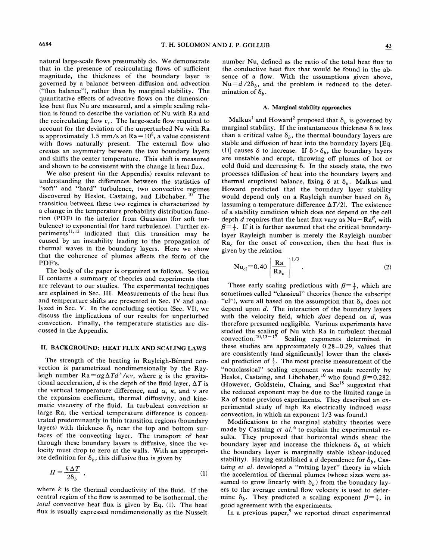natural large-scale flows presumably do. We demonstrate that in the presence of recirculating flows of sufficient magnitude, the thickness of the boundary layer is governed by a balance between diffusion and advection ("flux balance"), rather than by marginal stability. The quantitative effects of advective flows on the dimensionless heat flux Nu are measured, and a simple scaling relation is found to describe the variation of Nu with Ra and the recirculating flow  $v_s$ . The large-scale flow required to account for the deviation of the unperturbed Nu with Ra is approximately 1.5 mm/s at  $Ra = 10^8$ , a value consistent with flows naturally present. The external flow also creates an asymmetry between the two boundary layers and shifts the center temperature. This shift is measured and shown to be consistent with the change in heat flux.

We also present (in the Appendix) results relevant to understanding the differences between the statistics of "soft" and "hard" turbulence, two convective regimes discovered by Heslot, Castaing, and Libchaber. <sup>10</sup> The transition between these two regimes is characterized by a change in the temperature probability distribution function (PDF) in the interior from Gaussian (for soft turbulence) to exponential (for hard turbulence). Further experiments<sup>11,12</sup> indicated that this transition may be caused by an instability leading to the propagation of thermal waves in the boundary layers. Here we show that the coherence of plumes affects the form of the PDF's.

The body of the paper is organized as follows. Section II contains a summary of theories and experiments that are relevant to our studies. The experimental techniques are explained in Sec. III. Measurements of the heat flux and temperature shifts are presented in Sec. IV and analyzed in Sec. V. In the concluding section (Sec. VI), we discuss the implications of our results for unperturbed convection. Finally, the temperature statistics are discussed in the Appendix.

# II. BACKGROUND: HEAT FLUX AND SCALING LAWS

The strength of the heating in Rayleigh-Bénard con-. vection is parametrized nondimensionally by the Rayleigh number  $Ra = \alpha g \Delta T d^3 / \kappa v$ , where g is the gravitational acceleration,  $d$  is the depth of the fluid layer,  $\Delta T$  is the vertical temperature difference, and  $\alpha$ ,  $\kappa$ , and  $\nu$  are the expansion coefficient, thermal diffusivity, and kinematic viscosity of the fluid. In turbulent convection at large Ra, the vertical temperature difference is concentrated predominantly in thin transition regions (boundary layers) with thickness  $\delta_b$  near the top and bottom surfaces of the convecting layer. The transport of heat through these boundary layers is diffusive, since the velocity must drop to zero at the walls. With an appropriate definition for  $\delta_b$ , this diffusive flux is given by

$$
H = \frac{k\,\Delta T}{2\delta_b} \tag{1}
$$

where  $k$  is the thermal conductivity of the fluid. If the central region of the flow is assumed to be isothermal, the total convective heat fiux is given by Eq. (1). The heat flux is usually expressed nondimensionally as the Nusselt number Nu, defined as the ratio of the total heat flux to the conductive heat flux that would be found in the absence of a flow. With the assumptions given above,  $Nu = d/2\delta_b$ , and the problem is reduced to the determination of  $\delta_b$ .

# A. Marginal stability approaches

Malkus<sup>1</sup> and Howard<sup>2</sup> proposed that  $\delta_b$  is governed by marginal stability. If the instantaneous thickness  $\delta$  is less than a critical value  $\delta_b$ , the thermal boundary layers are stable and diffusion of heat into the boundary layers [Eq. (1)] causes  $\delta$  to increase. If  $\delta > \delta_b$ , the boundary layers are unstable and erupt, throwing off plumes of hot or cold fluid and decreasing  $\delta$ . In the steady state, the two processes (diffusion of heat into the boundary layers and thermal eruptions) balance, fixing  $\delta$  at  $\delta_b$ . Malkus and Howard predicted that the boundary layer stability would depend only on a Rayleigh number based on  $\delta_h$ (assuming a temperature difference  $\Delta T/2$ ). The existence of a stability condition which does not depend on the cell depth d requires that the heat flux vary as  $Nu \sim Ra^{\beta}$ , with depth a requires that the heat hux vary as ivu  $\propto Ra$ , with  $B=\frac{1}{3}$ . If it is further assumed that the critical boundary layer Rayleigh number is merely the Rayleigh number  $Ra<sub>c</sub>$  for the onset of convection, then the heat flux is given by the relation

$$
\mathbf{Nu}_{\text{cl}} = 0.40 \left[ \frac{\mathbf{Ra}}{\mathbf{Ra}_c} \right]^{1/3} . \tag{2}
$$

These early scaling predictions with  $\beta = \frac{1}{3}$ , which are sometimes called "classical" theories (hence the subscript "cl"), were all based on the assumption that  $\delta_b$  does not depend upon  $d$ . The interaction of the boundary layers with the velocity field, which does depend on  $d$ , was therefore presumed negligible. Various experiments have studied the scaling of Nu with Ra in turbulent thermal convection.  $10, 13-17$ Scaling exponents determined in these studies are approximately 0.28—0.29, values that are consistently (and significantly) lower than the classithe consistently (and significantly) lower than the classi-<br>cal prediction of  $\frac{1}{3}$ . The most precise measurement of the 'nonclassical" scaling exponent was made recently by Heslot, Castaing, and Libchaber, <sup>10</sup> who found  $\beta$ =0.282. (However, Goldstein, Chaing, and See<sup>18</sup> suggested that the reduced exponent may be due to the limited range in Ra of some previous experiments. They described an experimental study of high Ra electrically induced mass convection, in which an exponent 1/3 was found. )

Modifications to the marginal stability theories were made by Castaing et  $al$ .<sup>6</sup> to explain the experimental results. They proposed that horizontal winds shear the boundary layer and increase the thickness  $\delta_b$  at which the boundary layer is marginally stable (shear-induced stability). Having established a d dependence for  $\delta_b$ , Castaing et al. developed a "mixing layer" theory in which the acceleration of thermal plumes (whose sizes were assumed to grow linearly with  $\delta_b$ ) from the boundary layers to the average central flow velocity is used to determine  $\delta_b$ . They predicted a scaling exponent  $\beta = \frac{2}{7}$ , in good agreement with the experiments.

In a previous paper, $9$  we reported direct experimental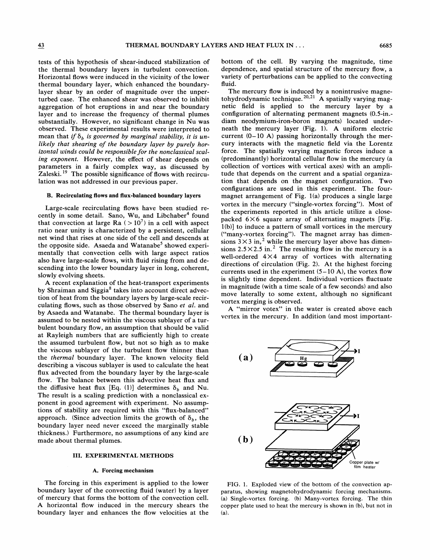tests of this hypothesis of shear-induced stabilization of the thermal boundary layers in turbulent convection. Horizontal flows were induced in the vicinity of the lower thermal boundary layer, which enhanced the boundarylayer shear by an order of magnitude over the unperturbed case. The enhanced shear was observed to inhibit aggregation of hot eruptions in and near the boundary layer and to increase the frequency of thermal plumes substantially. However, no significant change in Nu was observed. These experimental results were interpreted to mean that if  $\delta_b$  is governed by marginal stability, it is unlikely that shearing of the boundary layer by purely hor izontal winds could be responsible for the nonclassical scaling exponent. However, the effect of shear depends on parameters in a fairly complex way, as discussed by Zaleski. <sup>19</sup> The possible significance of flows with recircu-

## B. Recirculating flows and flux-balanced boundary layers

lation was not addressed in our previous paper.

Large-scale recirculating flows have been studied recently in some detail. Sano, Wu, and Libchaber<sup>4</sup> found that convection at large Ra  $(>10^7)$  in a cell with aspect ratio near unity is characterized by a persistent, cellular net wind that rises at one side of the cell and descends at the opposite side. Asaeda and Watanabe<sup>5</sup> showed experimentally that convection cells with large aspect ratios also have large-scale flows, with fluid rising from and descending into the lower boundary layer in long, coherent, slowly evolving sheets.

A recent explanation of the heat-transport experiments by Shraiman and Siggia<sup>8</sup> takes into account direct advection of heat from the boundary layers by large-scale recirculating flows, such as those observed by Sano et al. and by Asaeda and Watanabe. The thermal boundary layer is assumed to be nested within the viscous sublayer of a turbulent boundary flow, an assumption that should be valid at Rayleigh numbers that are sufficiently high to create the assumed turbulent flow, but not so high as to make the viscous sublayer of the turbulent flow thinner than the thermal boundary layer. The known velocity field describing a viscous sublayer is used to calculate the heat flux advected from the boundary layer by the large-scale flow. The balance between this advective heat flux and the diffusive heat flux [Eq. (1)] determines  $\delta_b$  and Nu. The result is a scaling prediction with a nonclassical exponent in good agreement with experiment. No assumptions of stability are required with this "flux-balanced" approach. (Since advection limits the growth of  $\delta_b$ , the boundary layer need never exceed the marginally stable thickness. ) Furthermore, no assumptions of any kind are made about thermal plumes.

## III. EXPERIMENTAL METHODS

## A. Forcing mechanism

The forcing in this experiment is applied to the lower boundary layer of the convecting fluid (water) by a layer of mercury that forms the bottom of the convection cell. A horizontal flow induced in the mercury shears the boundary layer and enhances the flow velocities at the bottom of the cell. By varying the magnitude, time dependence, and spatial structure of the mercury flow, a variety of perturbations can be applied to the convecting fluid.

The mercury flow is induced by a nonintrusive magnetohydrodynamic technique.<sup>20,21</sup> A spatially varying magnetic field is applied to the mercury layer by a configuration of alternating permanent magnets (0.5-in. diam neodymium-iron-boron magnets) located underneath the mercury layer (Fig. 1). A uniform electric current  $(0-10 A)$  passing horizontally through the mercury interacts with the magnetic field via the Lorentz force. The spatially varying magnetic forces induce a (predominantly) horizontal cellular flow in the mercury (a collection of vortices with vertical axes) with an amplitude that depends on the current and a spatial organization that depends on the magnet configuration. Two configurations are used in this experiment. The fourmagnet arrangement of Fig. 1(a) produces a single large vortex in the mercury ("single-vortex forcing"). Most of the experiments reported in this article utilize a closepacked  $6\times6$  square array of alternating magnets [Fig. 1(b)] to induce a pattern of small vortices in the mercury ("many-vortex forcing"). The magnet array has dimensions  $3 \times 3$  in,<sup>2</sup> while the mercury layer above has dimensions  $2.5 \times 2.5$  in.<sup>2</sup> The resulting flow in the mercury is a well-ordered  $4 \times 4$  array of vortices with alternating directions of circulation (Fig. 2). At the highest forcing currents used in the experiment  $(5-10 \text{ A})$ , the vortex flow is slightly time dependent. Individual vortices fluctuate in magnitude (with a time scale of a few seconds) and also move laterally to some extent, although no significant vortex merging is observed.

A "mirror votex" in the water is created above each vortex in the mercury. In addition (and most important-



FIG. 1. Exploded view of the bottom of the convection apparatus, showing magnetohydrodynamic forcing mechanisms. (a) Single-vortex forcing. (b) Many-vortex forcing. The thin copper plate used to heat the mercury is shown in (b), but not in (a).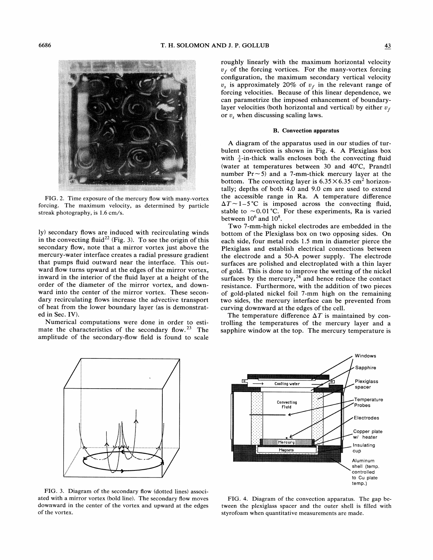

FIG. 2. Time exposure of the mercury flow with many-vortex forcing. The maximum velocity, as determined by particle streak photography, is 1.6 cm/s.

ly) secondary flows are induced with recirculating winds in the convecting fluid<sup>22</sup> (Fig. 3). To see the origin of this secondary flow, note that a mirror vortex just above the mercury-water interface creates a radial pressure gradient that pumps fluid outward near the interface. This outward flow turns upward at the edges of the mirror vortex, inward in the interior of the fluid layer at a height of the order of the diameter of the mirror vortex, and downward into the center of the mirror vortex. These secondary recirculating flows increase the advective transport of heat from the lower boundary layer (as is demonstrated in Sec. IV).

Numerical computations were done in order to estimate the characteristics of the secondary flow. $23$  The amplitude of the secondary-flow field is found to scale



FIG. 3. Diagram of the secondary flow (dotted lines) associated with a mirror vortex (bold line). The secondary flow moves downward in the center of the vortex and upward at the edges of the vortex.

roughly linearly with the maximum horizontal velocity  $v_f$  of the forcing vortices. For the many-vortex forcing configuration, the maximum secondary vertical velocity  $v<sub>s</sub>$  is approximately 20% of  $v<sub>f</sub>$  in the relevant range of forcing velocities. Because of this linear dependence, we can parametrize the imposed enhancement of boundarylayer velocities (both horizontal and vertical) by either  $v_f$ or  $v<sub>s</sub>$  when discussing scaling laws.

#### B. Convection apparatus

A diagram of the apparatus used in our studies of turbulent convection is shown in Fig. 4. A Plexiglass box with  $\frac{3}{4}$ -in-thick walls encloses both the convecting fluid (water at temperatures between 30 and 40'C, Prandtl number  $Pr \sim 5$  and a 7-mm-thick mercury layer at the bottom. The convecting layer is  $6.35 \times 6.35$  cm<sup>2</sup> horizontally; depths of both 4.0 and 9.0 cm are used to extend the accessible range in Ra. A temperature difference  $\Delta T \sim 1-5$  °C is imposed across the convecting fluid, stable to  $\sim$  0.01 °C. For these experiments, Ra is varied between  $10^6$  and  $10^8$ .

Two 7-mm-high nickel electrodes are embedded in the bottom of the Plexiglass box on two opposing sides. On each side, four metal rods 1.5 mm in diameter pierce the Plexiglass and establish electrical connections between the electrode and a 50-A power supply. The electrode surfaces are polished and electroplated with a thin layer of gold. This is done to improve the wetting of the nickel surfaces by the mercury,  $24$  and hence reduce the contact resistance. Furthermore, with the addition of two pieces of gold-plated nickel foil 7-mm high on the remaining two sides, the mercury interface can be prevented from curving downward at the edges of the cell.

The temperature difference  $\Delta T$  is maintained by controlling the temperatures of the mercury layer and a sapphire window at the top. The mercury temperature is



FIG. 4. Diagram of the convection apparatus. The gap between the plexiglass spacer and the outer shell is filled with styrofoam when quantitative measurements are made.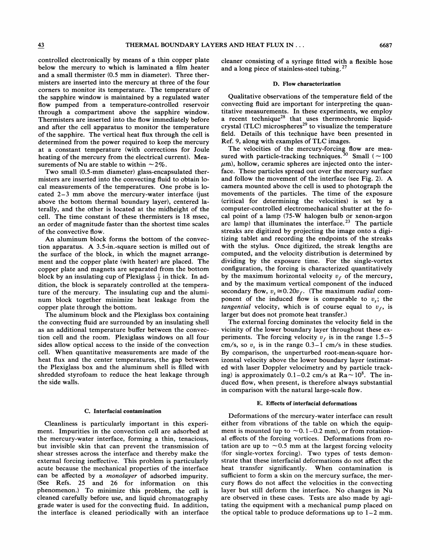controlled electronically by means of a thin copper plate below the mercury to which is laminated a film heater and a small thermister (0.5 mm in diameter). Three thermisters are inserted into the mercury at three of the four corners to monitor its temperature. The temperature of the sapphire window is maintained by a regulated water flow pumped from a temperature-controlled reservoir through a compartment above the sapphire window. Thermisters are inserted into the flow immediately before and after the cell apparatus to monitor the temperature of the sapphire. The vertical heat flux through the cell is determined from the power required to keep the mercury at a constant temperature (with corrections for Joule heating of the mercury from the electrical current). Measurements of Nu are stable to within  $\sim$  2%.

Two small (0.5-mm diameter) glass-encapsulated thermisters are inserted into the convecting fluid to obtain local measurements of the temperatures. One probe is located 2—3 mm above the mercury-water interface (just above the bottom thermal boundary layer), centered laterally, and the other is located at the midheight of the cell. The time constant of these thermisters is 18 msec, an order of magnitude faster than the shortest time scales of the convective flow.

An aluminum block forms the bottom of the convection apparatus. A 3.5-in.-square section is milled out of the surface of the block, in which the magnet arrangement and the copper plate (with heater) are placed. The copper plate and magnets are separated from the bottom block by an insulating cup of Plexiglass  $\frac{1}{4}$  in thick. In addition, the block is separately controlled at the temperature of the mercury. The insulating cup and the aluminum block together minimize heat leakage from the copper plate through the bottom.

The aluminum block and the Plexiglass box containing the convecting fluid are surrounded by an insulating shell as an additional temperature buffer between the convection cell and the room. Plexiglass windows on all four sides allow optical access to the inside of the convection cell. When quantitative measurements are made of the heat flux and the center temperatures, the gap between the Plexiglass box and the aluminum shell is filled with shredded styrofoam to reduce the heat leakage through the side walls.

#### C. Interfacial contamination

Cleanliness is particularly important in this experiment. Impurities in the convection cell are adsorbed at the mercury-water interface, forming a thin, tenacious, but invisible skin that can prevent the transmission of shear stresses across the interface and thereby make the external forcing ineffective. This problem is particularly acute because the mechanical properties of the interface can be affected by a monolayer of adsorbed impurity. (See Refs. 25 and 26 for information on this phenomenon.) To minimize this problem, the cell is cleaned carefully before use, and liquid chromatography grade water is used for the convecting fluid. In addition, the interface is cleaned periodically with an interface

cleaner consisting of a syringe fitted with a flexible hose and a long piece of stainless-steel tubing.<sup>27</sup>

#### D. Flow characterization

Qualitative observations of the temperature field of the convecting fluid are important for interpreting the quantitative measurements. In these experiments, we employ a recent technique<sup>28</sup> that uses thermochromic liquidcrystal (TLC) microspheres<sup>29</sup> to visualize the temperature field. Details of this technique have been presented in Ref. 9, along with examples of TLC images.

The velocities of the mercury-forcing flow are mea-<br>sured with particle-tracking techniques.<sup>30</sup> Small ( $\sim$ 100  $\mu$ m), hollow, ceramic spheres are injected onto the interface. These particles spread out over the mercury surface and follow the movement of the interface (see Fig. 2). A camera mounted above the cell is used to photograph the movements of the particles. The time of the exposure (critical for determining the velocities) is set by a computer-controlled electromechanical shutter at the focal point of a lamp (75-W halogen bulb or xenon-argon arc lamp) that illuminates the interface.<sup>23</sup> The particle streaks are digitized by projecting the image onto a digitizing tablet and recording the endpoints of the streaks with the stylus. Once digitized, the streak lengths are computed, and the velocity distribution is determined by dividing by the exposure time. For the single-vortex configuration, the forcing is characterized quantitatively by the maximum horizontal velocity  $v_f$  of the mercury, and by the maximum vertical component of the induced secondary flow,  $v_s \approx 0.20v_f$ . (The maximum *radial* component of the induced flow is comparable to  $v_s$ ; the tangential velocity, which is of course equal to  $v_f$ , is larger but does not promote heat transfer. )

The external forcing dominates the velocity field in the vicinity of the lower boundary layer throughout these experiments. The forcing velocity  $v_f$  is in the range 1.5–5 cm/s, so  $v_s$  is in the range 0.3–1 cm/s in these studies. By comparison, the unperturbed root-mean-square horizontal velocity above the lower boundary layer (estimated with laser Doppler velocimetry and by particle tracking) is approximately 0.1–0.2 cm/s at  $Ra \sim 10^8$ . The induced flow, when present, is therefore always substantial in comparison with the natural large-scale flow.

#### E. Effects of interfacial deformations

Deformations of the mercury-water interface can result either from vibrations of the table on which the equipment is mounted (up to  $\sim$  0.1–0.2 mm), or from rotational effects of the forcing vortices. Deforrnations from rotation are up to  $\sim 0.5$  mm at the largest forcing velocity (for single-vortex forcing). Two types of tests demonstrate that these interfacial deformations do not affect the heat transfer significantly. When contamination is sufficient to form a skin on the mercury surface, the mercury flows do not affect the velocities in the convecting layer but still deform the interface. No changes in Nu are observed in these cases. Tests are also made by agitating the equipment with a mechanical pump placed on the optical table to produce deformations up to <sup>1</sup>—2 mm.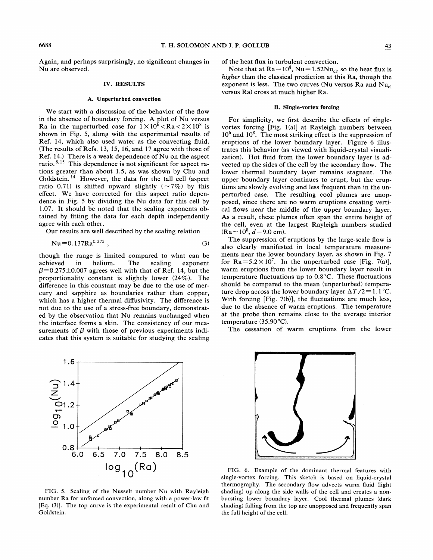Again, and perhaps surprisingly, no significant changes in Nu are observed.

## IV. RESULTS

## A. Unperturbed convection

We start with a discussion of the behavior of the flow in the absence of boundary forcing. A plot of Nu versus Ra in the unperturbed case for  $1 \times 10^6$  < Ra < 2 × 10<sup>8</sup> is shown in Fig. 5, along with the experimental results of Ref. 14, which also used water as the convecting fluid. (The results of Refs. 13, 15, 16, and 17 agree with those of Ref. 14.) There is a weak dependence of Nu on the aspect ratio.<sup>8,15</sup> This dependence is not significant for aspect rations greater than about 1.5, as was shown by Chu and Goldstein.<sup>14</sup> However, the data for the tall cell (aspect ratio 0.71) is shifted upward slightly ( $\sim$ 7%) by this effect. We have corrected for this aspect ratio dependence in Fig. 5 by dividing the Nu data for this cell by 1.07. It should be noted that the scaling exponents obtained by fitting the data for each depth independently agree with each other.

Our results are well described by the scaling relation

$$
Nu = 0.137Ra^{0.275},
$$
 (3)

though the range is limited compared to what can be achieved in helium. The scaling exponent  $\beta$ =0.275 $\pm$ 0.007 agrees well with that of Ref. 14, but the proportionality constant is slightly lower (24%). The difference in this constant may be due to the use of mercury and sapphire as boundaries rather than copper, which has a higher thermal diffusivity. The difference is not due to the use of a stress-free boundary, demonstrated by the observation that Nu remains unchanged when the interface forms a skin. The consistency of our measurements of  $\beta$  with those of previous experiments indicates that this system is suitable for studying the scaling

1.6-

 $\tilde{\mathsf{O}}$ 1.:

 $\overline{a}$  1



6.0 6.5 7.0 7.5 8.0 8.5

of the heat flux in turbulent convection.

Note that at  $Ra = 10^8$ ,  $Nu = 1.52Nu_{cb}$ , so the heat flux is higher than the classical prediction at this Ra, though the exponent is less. The two curves (Nu versus Ra and Nu<sub>cl</sub> versus Ra) cross at much higher Ra.

# B. Single-vortex forcing

For simplicity, we first describe the effects of singlevortex forcing [Fig. 1(a)] at Rayleigh numbers between  $10<sup>6</sup>$  and  $10<sup>8</sup>$ . The most striking effect is the suppression of eruptions of the lower boundary layer. Figure 6 illustrates this behavior (as viewed with liquid-crystal visualization). Hot fluid from the lower boundary layer is advected up the sides of the cell by the secondary flow. The lower thermal boundary layer remains stagnant. The upper boundary layer continues to erupt, but the eruptions are slowly evolving and less frequent than in the unperturbed case. The resulting cool plumes are unopposed, since there are no warm eruptions creating vertical flows near the middle of the upper boundary layer. As a result, these plumes often span the entire height of the cell, even at the largest Rayleigh numbers studied  $(Ra \sim 10^8, d=9.0 \text{ cm}).$ 

The suppression of eruptions by the large-scale flow is also clearly manifested in local temperature measurements near the lower boundary layer, as shown in Fig. 7 for  $Ra = 5.2 \times 10^7$ . In the unperturbed case [Fig. 7(a)], warm eruptions from the lower boundary layer result in temperature fluctuations up to  $0.8\textdegree C$ . These fluctuations should be compared to the mean (unperturbed) temperature drop across the lower boundary layer  $\Delta T/2 = 1.1 \degree C$ . With forcing [Fig. 7(b)], the fluctuations are much less, due to the absence of warm eruptions. The temperature at the probe then remains close to the average interior temperature (35.90'C).

The cessation of warm eruptions from the lower



FIG. 6. Example of the dominant thermal features with single-vortex forcing. This sketch is based on liquid-crystal thermography. The secondary flow advects warm fluid (light shading) up along the side walls of the cell and creates a nonbursting lower boundary layer. Cool thermal plumes (dark shading) falling from the top are unopposed and frequently span the full height of the cell.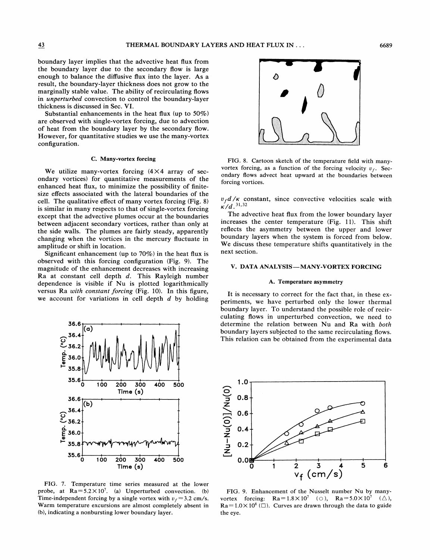boundary layer implies that the advective heat flux from the boundary layer due to the secondary flow is large enough to balance the diffusive flux into the layer. As a result, the boundary-layer thickness does not grow to the marginally stable value. The ability of recirculating flows in unperturbed convection to control the boundary-layer thickness is discussed in Sec. VI.

Substantial enhancements in the heat fiux (up to 50%) are observed with single-vortex forcing, due to advection of heat from the boundary layer by the secondary flow. However, for quantitative studies we use the many-vortex configuration.

## C. Many-vortex forcing

We utilize many-vortex forcing  $(4 \times 4 \text{ array of sec-}$ ondary vortices) for quantitative measurements of the enhanced heat flux, to minimize the possibility of finitesize efFects associated with the lateral boundaries of the cell. The qualitative effect of many vortex forcing (Fig. 8) is similar in many respects to that of single-vortex forcing except that the advective plumes occur at the boundaries between adjacent secondary vortices, rather than only at the side walls. The plumes are fairly steady, apparently changing when the vortices in the mercury fluctuate in amplitude or shift in location.

Significant enhancement (up to  $70\%$ ) in the heat flux is observed with this forcing configuration (Fig. 9). The magnitude of the enhancement decreases with increasing Ra at constant cell depth  $d$ . This Rayleigh number dependence is visible if Nu is plotted logarithmically versus Ra with constant forcing (Fig. 10). In this figure, we account for variations in cell depth  $d$  by holding



FIG. 7. Temperature time series measured at the lower probe, at  $Ra = 5.2 \times 10^7$ . (a) Unperturbed convection. (b) Time-independent forcing by a single vortex with  $v_f = 3.2$  cm/s. Warm temperature excursions are almost completely absent in (b), indicating a nonbursting lower boundary layer.



FIG. 8. Cartoon sketch of the temperature field with manyvortex forcing, as a function of the forcing velocity  $v_f$ . Secondary flows advect heat upward at the boundaries between forcing vortices.

 $v_f d / \kappa$  constant, since convective velocities scale with  $\kappa/d$ . 31,32

The advective heat flux from the lower boundary layer increases the center temperature (Fig. 11). This shift reflects the asymmetry between the upper and lower boundary layers when the system is forced from below. We discuss these temperature shifts quantitatively in the next section.

# V. DATA ANALYSIS - MANY-VORTEX FORCING

## A. Temperature asymmetry

It is necessary to correct for the fact that, in these experiments, we have perturbed only the lower thermal boundary layer. To understand the possible role of recirculating flows in unperturbed convection, we need to determine the relation between Nu and Ra with both boundary layers subjected to the same recirculating flows.



FIG. 9. Enhancement of the Nusselt number Nu by manyvortex forcing:  $Ra = 1.8 \times 10^7$  (O),  $Ra = 5.0 \times 10^7$  ( $\triangle$ ),  $Ra = 1.0 \times 10^8$  ( $\Box$ ). Curves are drawn through the data to guide the eye.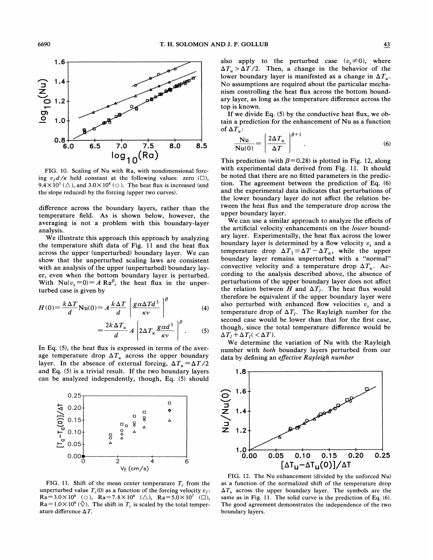

FIG. 10. Scaling of Nu with Ra, with nondimensional forcing  $v_f d / \kappa$  held constant at the following values: zero ( $\Box$ ),  $9.4 \times 10^3$  ( $\triangle$ ), and  $3.0 \times 10^4$  ( $\odot$ ). The heat flux is increased (and the slope reduced) by the forcing (upper two curves).

difference across the boundary layers, rather than the temperature field. As is shown below, however, the averaging is not a problem with this boundary-layer analysis.

We illustrate this approach this approach by analyzing the temperature shift data of Fig. 11 and the heat flux across the upper (unperturbed) boundary layer. We can show that the unperturbed scaling laws are consistent with an analysis of the upper (unperturbed) boundary layer, even when the bottom boundary layer is perturbed. With  $Nu(v_s=0) = A Ra^{\beta}$ , the heat flux in the unperturbed case is given by

$$
H(0) = \frac{k\Delta T}{d} \text{Nu}(0) = A \frac{k\Delta T}{d} \left[ \frac{g\alpha\Delta T d^3}{\kappa v} \right]^\beta \tag{4}
$$

$$
= \frac{2k\Delta T_u}{d} A \left[ 2\Delta T_u \frac{g\alpha d^3}{\kappa v} \right]^\beta. \tag{5}
$$

In Eq. (5), the heat fiux is expressed in terms of the average temperature drop  $\Delta T_u$  across the upper boundary layer. In the absence of external forcing,  $\Delta T_u = \Delta T/2$ and Eq. (5) is a trivial result. If the two boundary layers can be analyzed independently, though, Eq. (5) should



FIG. 11. Shift of the mean center temperature  $T_c$  from the unperturbed value  $T_c(0)$  as a function of the forcing velocity  $v_f$ .  $Ra=3.0\times10^6$  (0),  $Ra=7.8\times10^6$  ( $\triangle$ ),  $Ra=5.0\times10^7$  ( $\square$ ),  $Ra = 1.0 \times 10^8$  ( $\Diamond$ ). The shift in  $T_c$  is scaled by the total temperature difference  $\Delta T$ .

also apply to the perturbed case  $(v_s \neq 0)$ , where  $\Delta T_{\nu} > \Delta T/2$ . Then, a change in the behavior of the lower boundary layer is manifested as a change in  $\Delta T_{\nu}$ . No assumptions are required about the particular mechanism controlling the heat flux across the bottom boundary layer, as long as the temperature difference across the top is known.

If we divide Eq. (5) by the conductive heat fiux, we obtain a prediction for the enhancement of Nu as a function of  $\Delta T_{\nu}$ :

$$
\frac{\mathbf{Nu}}{\mathbf{Nu}(0)} = \left(\frac{2\Delta T_u}{\Delta T}\right)^{\beta+1}.
$$
 (6)

This prediction (with  $\beta$ =0.28) is plotted in Fig. 12, along with experimental data derived from Fig. 11. It should be noted that there are no fitted parameters in the prediction. The agreement between the prediction of Eq. (6) and the experimental data indicates that perturbations of the lower boundary layer do not affect the relation between the heat flux and the temperature drop across the upper boundary layer.

We can use a similar approach to analyze the effects of the artificial velocity enhancements on the lower boundary layer. Experimentally, the heat flux across the lower boundary layer is determined by a flow velocity  $v_s$  and a we can use a similar approach to analyze the enects of<br>the artificial velocity enhancements on the *lower* bound-<br>try layer. Experimentally, the heat flux across the lower<br>poundary layer is determined by a flow velocity temperature drop  $\Delta T_1 \equiv \Delta T - \Delta T_u$ , while the upper<br>boundary layer remains unperturbed with a "normal" convective velocity and a temperature drop  $\Delta T_{\nu}$ . According to the analysis described above, the absence of perturbations of the upper boundary layer does not affect the relation between H and  $\Delta T_i$ . The heat flux would therefore be equivalent if the upper boundary layer were also perturbed with enhanced flow velocities  $v_s$  and a temperature drop of  $\Delta T_i$ . The Rayleigh number for the second case would be lower than that for the first case, though, since the total temperature difference would be  $\Delta T_i + \Delta T_i \, \langle \, \Delta T \, \rangle$ .

We determine the variation of Nu with the Rayleigh number with both boundary layers perturbed from our data by defining an effective Rayleigh number



FIG. 12. The Nu enhancement (divided by the unforced Nu) as a function of the normalized shift of the temperature drop  $\Delta T_u$  across the upper boundary layer. The symbols are the same as in Fig. 11. The solid curve is the prediction of Eq. (6). The good agreement demonstrates the independence of the two boundary layers.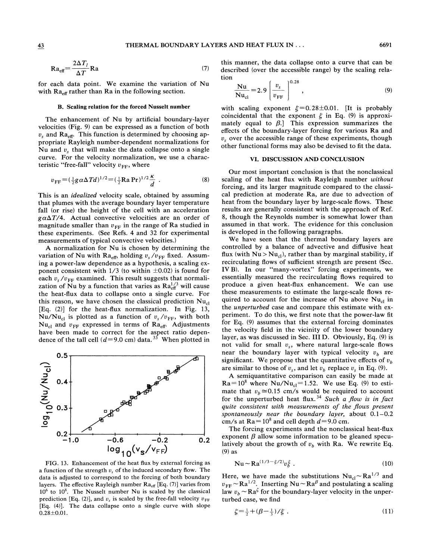$$
Ra_{\text{eff}} = \frac{2\Delta T_I}{\Delta T}Ra
$$
\n(7)

for each data point. We examine the variation of Nu with  $Ra_{\text{eff}}$  rather than Ra in the following section.

#### B. Scaling relation for the forced Nusselt number

The enhancement of Nu by artificial boundary-layer velocities (Fig. 9) can be expressed as a function of both  $v_s$  and Ra<sub>eff</sub>. This function is determined by choosing appropriate Rayleigh number-dependent normalizations for Nu and  $v<sub>s</sub>$  that will make the data collapse onto a single curve. For the velocity normalization, we use a characteristic "free-fall" velocity  $v_{FF}$ , where

$$
v_{\rm FF} = (\frac{1}{2} g \alpha \Delta T d)^{1/2} = (\frac{1}{2} \text{Ra} \Pr)^{1/2} \frac{\kappa}{d} \tag{8}
$$

This is an *idealized* velocity scale, obtained by assuming that plumes with the average boundary layer temperature fall (or rise) the height of the cell with an acceleration  $g\alpha\Delta T/4$ . Actual convective velocities are an order of magnitude smaller than  $v_{FF}$  in the range of Ra studied in these experiments. (See Refs. 4 and 32 for experimental measurements of typical convective velocities. )

A normalization for Nu is chosen by determining the variation of Nu with  $Ra_{eff}$ , holding  $v_s/v_{FF}$  fixed. Assuming a power-law dependence as a hypothesis, a scaling exponent consistent with  $1/3$  (to within  $\pm 0.02$ ) is found for each  $v_s/v_{\text{FF}}$  examined. This result suggests that normalization of Nu by a function that varies as  $Ra_{\text{eff}}^{1/3}$  will cause the heat-Aux data to collapse onto a single curve. For this reason, we have chosen the classical prediction  $Nu_{cl}$ [Eq. (2)] for the heat-Ilux normalization. In Fig. 13, Nu/Nu<sub>cl</sub> is plotted as a function of  $v_s/v_{\text{FF}}$ , with both  $Nu_{cl}$  and  $v_{FF}$  expressed in terms of  $Ra_{eff}$ . Adjustment have been made to correct for the aspect ratio dependence of the tall cell ( $d=9.0$  cm) data.<sup>33</sup> When plotted in



FIG. 13. Enhancement of the heat flux by external forcing as a function of the strength  $v_s$  of the induced secondary flow. The data is adjusted to correspond to the forcing of both boundary layers. The effective Rayleigh number  $Ra_{\text{eff}}$  [Eq. (7)] varies from  $10<sup>6</sup>$  to  $10<sup>8</sup>$ . The Nusselt number Nu is scaled by the classical prediction [Eq. (2)], and  $v_s$  is scaled by the free-fall velocity  $v_{FF}$ [Eq. (4)]. The data collapse onto a single curve with slope  $0.28 \pm 0.01$ .

this manner, the data collapse onto a curve that can be described (over the accessible range) by the scaling relation

$$
\frac{Nu}{Nu_{cl}} = 2.9 \left(\frac{v_s}{v_{FF}}\right)^{0.28},
$$
\n(9)

with scaling exponent  $\xi=0.28\pm0.01$ . [It is probably coincidental that the exponent  $\xi$  in Eq. (9) is approximately equal to  $\beta$ . This expression summarizes the effects of the boundary-layer forcing for various Ra and  $v<sub>s</sub>$  over the accessible range of these experiments, though other functional forms may also be devised to fit the data.

# VI. DISCUSSION AND CONCLUSION

Our most important conclusion is that the nonclassical scaling of the heat flux with Rayleigh number without forcing, and its larger magnitude compared to the classical prediction at moderate Ra, are due to advection of heat from the boundary layer by large-scale flows. These results are generally consistent with the approach of Ref. 8, though the Reynolds number is somewhat lower than assumed in that work. The evidence for this conclusion is developed in the following paragraphs.

We have seen that the thermal boundary layers are controlled by a balance of advective and diffusive heat flux (with  $Nu > Nu_{cl}$ ), rather than by marginal stability, if recirculating flows of sufficient strength are present (Sec. IVB). In our "many-vortex" forcing experiments, we essentially measured the recirculating flows required to produce a given heat-flux enhancement. We can use these measurements to estimate the large-scale flows required to account for the increase of Nu above  $Nu_{cl}$  in the *unperturbed* case and compare this estimate with experiment. To do this, we first note that the power-law fit for Eq. (9) assumes that the external forcing dominates the velocity field in the vicinity of the lower boundary layer, as was discussed in Sec. III D. Obviously, Eq. (9) is not valid for small  $v_s$ , where natural large-scale flows near the boundary layer with typical velocity  $v_b$  are significant. We propose that the quantitative effects of  $v<sub>b</sub>$ are similar to those of  $v_s$ , and let  $v_b$  replace  $v_s$  in Eq. (9).

A semiquantitative comparison can easily be made at  $Ra = 10^8$  where  $Nu/\text{Nu}_{cl} = 1.52$ . We use Eq. (9) to estimate that  $v_b \approx 0.15$  cm/s would be required to account for the unperturbed heat flux.<sup>34</sup> Such a flow is in fact quite consistent with measurements of the flows present spontaneously near the boundary layer, about 0.1—0.2 cm/s at  $Ra = 10^8$  and cell depth  $d=9.0$  cm.

The forcing experiments and the nonclassical heat-flux exponent  $\beta$  allow some information to be gleaned speculatively about the growth of  $v_b$  with Ra. We rewrite Eq. (9) as

$$
Nu \sim Ra^{(1/3 - \frac{\ell}{2})}v_b^{\frac{\ell}{2}}.
$$
 (10)

Here, we have made the substitutions  $Nu_{cl} \sim Ra^{1/3}$  and  $v_{\text{FF}} \sim \text{Ra}^{1/2}$ . Inserting Nu  $\sim \text{Ra}^{\beta}$  and postulating a scaling law  $v_b \sim \text{Ra}^2$  for the boundary-layer velocity in the unperturbed case, we find

$$
\zeta = \frac{1}{2} + (\beta - \frac{1}{3})/\xi \tag{11}
$$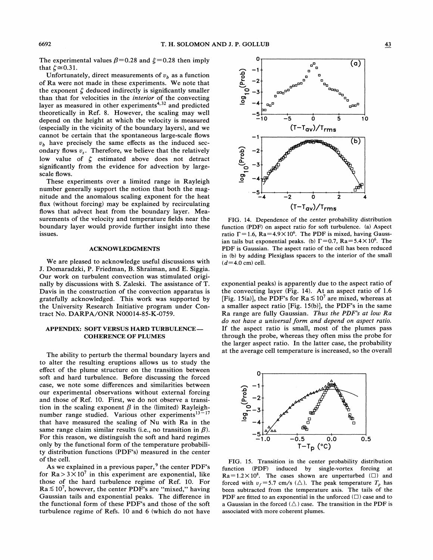The experimental values  $\beta$ =0.28 and  $\xi$ =0.28 then imply that  $\zeta \approx 0.31$ .

Unfortunately, direct measurements of  $v<sub>b</sub>$  as a function of Ra were not made in these experiments. We note that the exponent  $\zeta$  deduced indirectly is significantly smaller than that for velocities in the interior of the convecting layer as measured in other experiments<sup>4,32</sup> and predicted theoretically in Ref. 8. However, the scaling may well depend on the height at which the velocity is measured (especially in the vicinity of the boundary layers), and we cannot be certain that the spontaneous large-scale flows  $v<sub>b</sub>$  have precisely the same effects as the induced secondary flows  $v_s$ . Therefore, we believe that the relatively low value of  $\xi$  estimated above does not detract significantly from the evidence for advection by largescale flows.

These experiments over a limited range in Rayleigh number generally support the notion that both the magnitude and the anomalous scaling exponent for the heat flux (without forcing) may be explained by recirculating flows that advect heat from the boundary layer. Measurements of the velocity and temperature fields near the boundary layer would provide further insight into these issues.

# **ACKNOWLEDGMENTS**

We are pleased to acknowledge useful discussions with J. Domaradzki, P. Friedman, B. Shraiman, and E. Siggia. Our work on turbulent convection was stimulated originally by discussions with S. Zaleski. The assistance of T. Davis in the construction of the convection apparatus is gratefully acknowledged. This work was supported by the University Research Initiative program under Contract No. DARPA/ONR N00014-85-K-0759.

# APPENDIX: SOFT VERSUS HARD TURBULENCE-**COHERENCE OF PLUMES**

The ability to perturb the thermal boundary layers and to alter the resulting eruptions allows us to study the efFect of the plume structure on the transition between soft and hard turbulence. Before discussing the forced case, we note some differences and similarities between our experimental observations without external forcing and those of Ref. 10. First, we do not observe a transition in the scaling exponent  $\beta$  in the (limited) Rayleighnumber range studied. Various other experiments $13-17$ that have measured the scaling of Nu with Ra in the same range claim similar results (i.e., no transition in  $\beta$ ). For this reason, we distinguish the soft and hard regimes only by the functional form of the temperature probability distribution functions (PDF's) measured in the center of the cell.

As we explained in a previous paper,  $9$  the center PDF's for  $Ra > 3 \times 10^7$  in this experiment are exponential, like those of the hard turbulence regime of Ref. 10. For  $Ra \lesssim 10^7$ , however, the center PDF's are "mixed," having Gaussian tails and exponential peaks. The difference in the functional form of these PDF's and those of the soft turbulence regime of Refs. 10 and 6 (which do not have



FIG. 14. Dependence of the center probability distribution function (PDF) on aspect ratio for soft turbulence. (a) Aspect ratio  $\Gamma = 1.6$ , Ra = 4.9 × 10<sup>6</sup>. The PDF is mixed, having Gaussian tails but exponential peaks. (b)  $\Gamma = 0.7$ ,  $Ra = 5.4 \times 10^6$ . The PDF is Gaussian. The aspect ratio of the cell has been reduced in (b) by adding Plexiglass spacers to the interior of the small  $(d=4.0 \text{ cm})$  cell.

exponential peaks) is apparently due to the aspect ratio of the convecting layer (Fig. 14). At an aspect ratio of 1.6 [Fig. 15(a)], the PDF's for  $Ra \lesssim 10^7$  are mixed, whereas at a smaller aspect ratio [Fig. 15(b)], the PDF's in the same Ra range are fully Gaussian. Thus the PDF's at low Ra do not haue a uniuersal form and depend on aspect ratio. If the aspect ratio is small, most of the plumes pass through the probe, whereas they often miss the probe for the larger aspect ratio. In the latter case, the probability at the average cell temperature is increased, so the overall



FIG. 15. Transition in the center probability distribution function (PDF) induced by single-vortex forcing at  $Ra = 1.2 \times 10^8$ . The cases shown are unperturbed ( $\square$ ) and forced with  $v_f$ =5.7 cm/s ( $\triangle$ ). The peak temperature  $T_p$  has been subtracted from the temperature axis. The tails of the PDF are fitted to an exponential in the unforced  $(\Box)$  case and to a Gaussian in the forced  $(\triangle)$  case. The transition in the PDF is associated with more coherent plumes.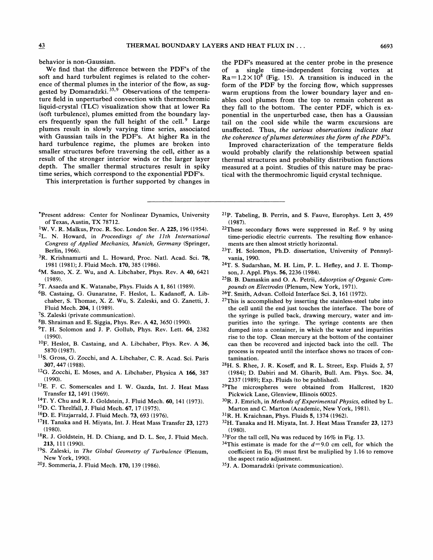behavior is non-Gaussian.

We find that the difference between the PDF's of the soft and hard turbulent regimes is related to the coherence of thermal plumes in the interior of the flow, as suggested by Domaradzki.<sup>35,9</sup> Observations of the temperature field in unperturbed convection with thermochromic liquid-crystal (TLC) visualization show that at lower Ra (soft turbulence), plumes emitted from the boundary layers frequently span the full height of the cell.<sup>9</sup> Large plumes result in slowly varying time series, associated with Gaussian tails in the PDF's. At higher Ra in the hard turbulence regime, the plumes are broken into smaller structures before traversing the cell, either as a result of the stronger interior winds or the larger layer depth. The smaller thermal structures result in spiky time series, which correspond to the exponential PDF's.

This interpretation is further supported by changes in

- 'Present address: Center for Nonlinear Dynamics, University of Texas, Austin, TX 78712.
- <sup>1</sup>W. V. R. Malkus, Proc. R. Soc. London Ser. A 225, 196 (1954).
- 2L. N. Howard, in Proceedings of the 11th International Congress of Applied Mechanics, Munich, Germany (Springer, Berlin, 1966).
- <sup>3</sup>R. Krishnamurti and L. Howard, Proc. Natl. Acad. Sci. 78, 1981 (1981); J. Fluid Mech. 170, 385 (1986).
- 4M. Sano, X. Z. Wu, and A. Libchaber, Phys. Rev. A 40, 6421  $(1989).$
- 5T. Asaeda and K. Watanabe, Phys. Fluids A 1, 861 (1989).
- <sup>6</sup>B. Castaing, G. Gunaratne, F. Heslot, L. Kadanoff, A. Libchaber, S. Thomae, X. Z. Wu, S. Zaleski, and G. Zanetti, J. Fluid Mech. 204, <sup>1</sup> (1989).
- 7S. Zaleski (private communication).
- B.Shraiman and E. Siggia, Phys. Rev. A 42, 3650 (1990).
- 9T. H. Solomon and J. P. Gollub, Phys. Rev. Lett. 64, 2382 (1990).
- <sup>10</sup>F. Heslot, B. Castaing, and A. Libchaber, Phys. Rev. A 36, 5870 (1987).
- <sup>11</sup>S. Gross, G. Zocchi, and A. Libchaber, C. R. Acad. Sci. Paris 307, 447 (1988).
- <sup>12</sup>G. Zocchi, E. Moses, and A. Libchaber, Physica A 166, 387  $(1990).$
- <sup>13</sup>E. F. C. Somerscales and I. W. Gazda, Int. J. Heat Mass Transfer 12, 1491 (1969).
- <sup>14</sup>T. Y. Chu and R. J. Goldstein, J. Fluid Mech. 60, 141 (1973).
- <sup>15</sup>D. C. Threlfall, J. Fluid Mech. 67, 17 (1975).
- <sup>16</sup>D. E. Fitzjarrald, J. Fluid Mech. 73, 693 (1976).
- <sup>17</sup>H. Tanaka and H. Miyata, Int. J. Heat Mass Transfer 23, 1273  $(1980).$
- 18R. J. Goldstein, H. D. Chiang, and D. L. See, J. Fluid Mech. 2i3, 111 (1990).
- <sup>19</sup>S. Zaleski, in The Global Geometry of Turbulence (Plenum, New York, 1990).
- <sup>20</sup>J. Sommeria, J. Fluid Mech. 170, 139 (1986).

the PDF's measured at the center probe in the presence of a single time-independent forcing vortex at  $Ra = 1.2 \times 10^8$  (Fig. 15). A transition is induced in the form of the PDF by the forcing How, which suppresses warm eruptions from the lower boundary layer and enables cool plumes from the top to remain coherent as they fall to the bottom. The center PDF, which is exponential in the unperturbed case, then has a Gaussian tail on the cool side while the warm excursions are unafFected. Thus, the uarious obseruations indicate that the coherence of plumes determines the form of the PDF's.

Improved characterization of the temperature fields would probably clarify the relationship between spatial thermal structures and probability distribution functions measured at a point. Studies of this nature may be practical with the thermochromic liquid crystal technique.

- $21P$ . Tabeling, B. Perrin, and S. Fauve, Europhys. Lett 3, 459 (1987).
- $22$ These secondary flows were suppressed in Ref. 9 by using time-periodic electric currents. The resulting flow enhancements are then almost strictly horizontal.
- $23$ T. H. Solomon, Ph.D. dissertation, University of Pennsylvania, 1990.
- $24$ T. S. Sudarshan, M. H. Lim, P. L. Hefley, and J. E. Thompson, J. Appl. Phys. 56, 2236 (1984).
- 258. B. Damaskin and O. A. Petrii, Adsorption of Organic Com pounds on Electrodes (Plenum, New York, 1971).
- <sup>26</sup>T. Smith, Advan. Colloid Interface Sci. 3, 161 (1972).
- $27$ This is accomplished by inserting the stainless-steel tube into the cell until the end just touches the interface. The bore of the syringe is pulled back, drawing mercury, water and impurities into the syringe. The syringe contents are then dumped into a container, in which the water and impurities rise to the top. Clean mercury at the bottom of the container can then be recovered and injected back into the cell. The process is repeated until the interface shows no traces of contamination.
- <sup>28</sup>H. S. Rhee, J. R. Koseff, and R. L. Street, Exp. Fluids 2, 57 (1984); D. Dabiri and M. Gharib, Bull. Am. Phys. Soc. 34, 2337 (1989);Exp. Fluids (to be published).
- <sup>29</sup>The microspheres were obtained from Hallcrest, 1820 Pickwick Lane, Glenview, Illinois 60025.
- $30R$ . J. Emrich, in Methods of Experimental Physics, edited by L. Marton and C. Marton (Academic, New York, 1981).
- R. H. Kraichnan, Phys. Fluids 5, 1374 (1962).
- <sup>32</sup>H. Tanaka and H. Miyata, Int. J. Heat Mass Transfer 23, 1273 (1980).
- $33$ For the tall cell, Nu was reduced by 16% in Fig. 13.
- <sup>34</sup>This estimate is made for the  $d=9.0$  cm cell, for which the coefficient in Eq.  $(9)$  must first be muliplied by 1.16 to remove the aspect ratio adjustment.
- 35J. A. Domaradzki (private communication).